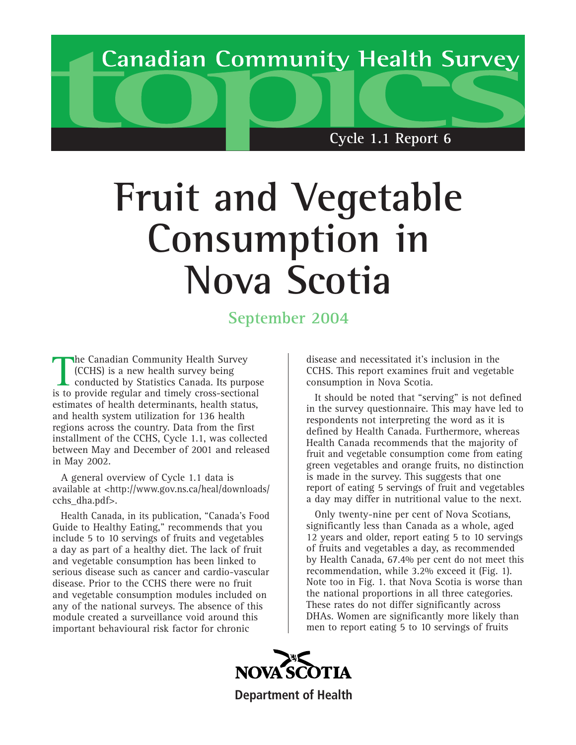

# **Fruit and Vegetable Consumption in Nova Scotia**

## **September 2004**

The Canadian Community Health Survey<br>
(CCHS) is a new health survey being<br>
conducted by Statistics Canada. Its purpos<br>
is to provide regular and timely cross-sectional he Canadian Community Health Survey (CCHS) is a new health survey being conducted by Statistics Canada. Its purpose estimates of health determinants, health status, and health system utilization for 136 health regions across the country. Data from the first installment of the CCHS, Cycle 1.1, was collected between May and December of 2001 and released in May 2002.

A general overview of Cycle 1.1 data is available at <http://www.gov.ns.ca/heal/downloads/ cchs\_dha.pdf>.

Health Canada, in its publication, "Canada's Food Guide to Healthy Eating," recommends that you include 5 to 10 servings of fruits and vegetables a day as part of a healthy diet. The lack of fruit and vegetable consumption has been linked to serious disease such as cancer and cardio-vascular disease. Prior to the CCHS there were no fruit and vegetable consumption modules included on any of the national surveys. The absence of this module created a surveillance void around this important behavioural risk factor for chronic

disease and necessitated it's inclusion in the CCHS. This report examines fruit and vegetable consumption in Nova Scotia.

It should be noted that "serving" is not defined in the survey questionnaire. This may have led to respondents not interpreting the word as it is defined by Health Canada. Furthermore, whereas Health Canada recommends that the majority of fruit and vegetable consumption come from eating green vegetables and orange fruits, no distinction is made in the survey. This suggests that one report of eating 5 servings of fruit and vegetables a day may differ in nutritional value to the next.

Only twenty-nine per cent of Nova Scotians, significantly less than Canada as a whole, aged 12 years and older, report eating 5 to 10 servings of fruits and vegetables a day, as recommended by Health Canada, 67.4% per cent do not meet this recommendation, while 3.2% exceed it (Fig. 1). Note too in Fig. 1. that Nova Scotia is worse than the national proportions in all three categories. These rates do not differ significantly across DHAs. Women are significantly more likely than men to report eating 5 to 10 servings of fruits

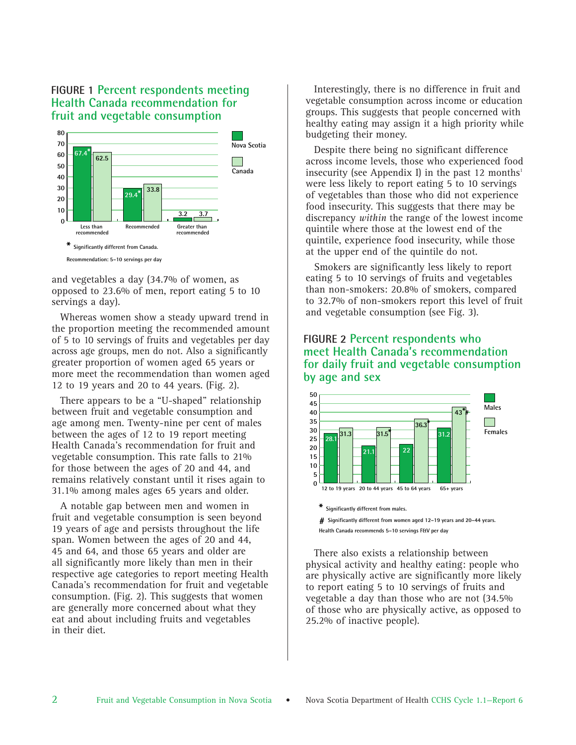#### **FIGURE 1 Percent respondents meeting Health Canada recommendation for fruit and vegetable consumption**



and vegetables a day (34.7% of women, as opposed to 23.6% of men, report eating 5 to 10 servings a day).

Whereas women show a steady upward trend in the proportion meeting the recommended amount of 5 to 10 servings of fruits and vegetables per day across age groups, men do not. Also a significantly greater proportion of women aged 65 years or more meet the recommendation than women aged 12 to 19 years and 20 to 44 years. (Fig. 2).

There appears to be a "U-shaped" relationship between fruit and vegetable consumption and age among men. Twenty-nine per cent of males between the ages of 12 to 19 report meeting Health Canada's recommendation for fruit and vegetable consumption. This rate falls to 21% for those between the ages of 20 and 44, and remains relatively constant until it rises again to 31.1% among males ages 65 years and older.

A notable gap between men and women in fruit and vegetable consumption is seen beyond 19 years of age and persists throughout the life span. Women between the ages of 20 and 44, 45 and 64, and those 65 years and older are all significantly more likely than men in their respective age categories to report meeting Health Canada's recommendation for fruit and vegetable consumption. (Fig. 2). This suggests that women are generally more concerned about what they eat and about including fruits and vegetables in their diet.

Interestingly, there is no difference in fruit and vegetable consumption across income or education groups. This suggests that people concerned with healthy eating may assign it a high priority while budgeting their money.

Despite there being no significant difference across income levels, those who experienced food insecurity (see Appendix I) in the past 12 months<sup>1</sup> were less likely to report eating 5 to 10 servings of vegetables than those who did not experience food insecurity. This suggests that there may be discrepancy *within* the range of the lowest income quintile where those at the lowest end of the quintile, experience food insecurity, while those at the upper end of the quintile do not.

Smokers are significantly less likely to report eating 5 to 10 servings of fruits and vegetables than non-smokers: 20.8% of smokers, compared to 32.7% of non-smokers report this level of fruit and vegetable consumption (see Fig. 3).

#### **FIGURE 2 Percent respondents who meet Health Canada's recommendation for daily fruit and vegetable consumption by age and sex**



**Health Canada recommends 5–10 servings F&V per day**

There also exists a relationship between physical activity and healthy eating: people who are physically active are significantly more likely to report eating 5 to 10 servings of fruits and vegetable a day than those who are not (34.5% of those who are physically active, as opposed to 25.2% of inactive people).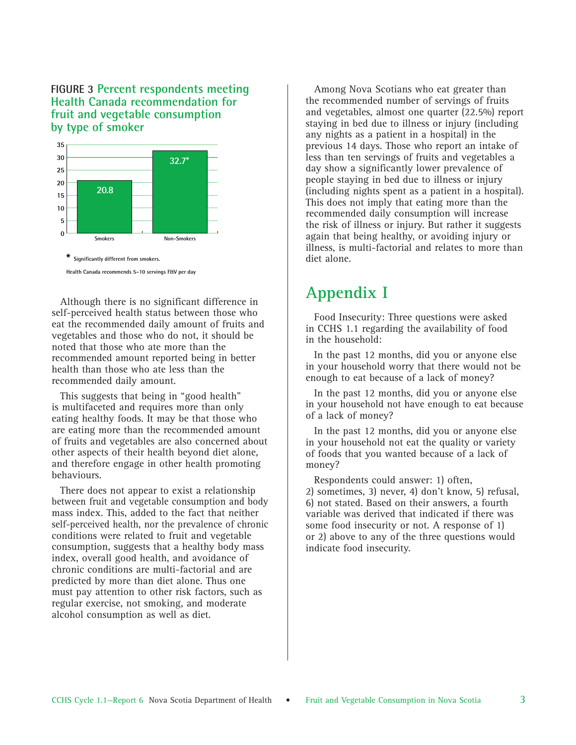#### **FIGURE 3 Percent respondents meeting Health Canada recommendation for fruit and vegetable consumption by type of smoker**



**Health Canada recommends 5–10 servings F&V per day**

Although there is no significant difference in self-perceived health status between those who eat the recommended daily amount of fruits and vegetables and those who do not, it should be noted that those who ate more than the recommended amount reported being in better health than those who ate less than the recommended daily amount.

This suggests that being in "good health" is multifaceted and requires more than only eating healthy foods. It may be that those who are eating more than the recommended amount of fruits and vegetables are also concerned about other aspects of their health beyond diet alone, and therefore engage in other health promoting behaviours.

There does not appear to exist a relationship between fruit and vegetable consumption and body mass index. This, added to the fact that neither self-perceived health, nor the prevalence of chronic conditions were related to fruit and vegetable consumption, suggests that a healthy body mass index, overall good health, and avoidance of chronic conditions are multi-factorial and are predicted by more than diet alone. Thus one must pay attention to other risk factors, such as regular exercise, not smoking, and moderate alcohol consumption as well as diet.

Among Nova Scotians who eat greater than the recommended number of servings of fruits and vegetables, almost one quarter (22.5%) report staying in bed due to illness or injury (including any nights as a patient in a hospital) in the previous 14 days. Those who report an intake of less than ten servings of fruits and vegetables a day show a significantly lower prevalence of people staying in bed due to illness or injury (including nights spent as a patient in a hospital). This does not imply that eating more than the recommended daily consumption will increase the risk of illness or injury. But rather it suggests again that being healthy, or avoiding injury or illness, is multi-factorial and relates to more than diet alone.

### **Appendix I**

Food Insecurity: Three questions were asked in CCHS 1.1 regarding the availability of food in the household:

In the past 12 months, did you or anyone else in your household worry that there would not be enough to eat because of a lack of money?

In the past 12 months, did you or anyone else in your household not have enough to eat because of a lack of money?

In the past 12 months, did you or anyone else in your household not eat the quality or variety of foods that you wanted because of a lack of money?

Respondents could answer: 1) often, 2) sometimes, 3) never, 4) don't know, 5) refusal, 6) not stated. Based on their answers, a fourth variable was derived that indicated if there was some food insecurity or not. A response of 1) or 2) above to any of the three questions would indicate food insecurity.